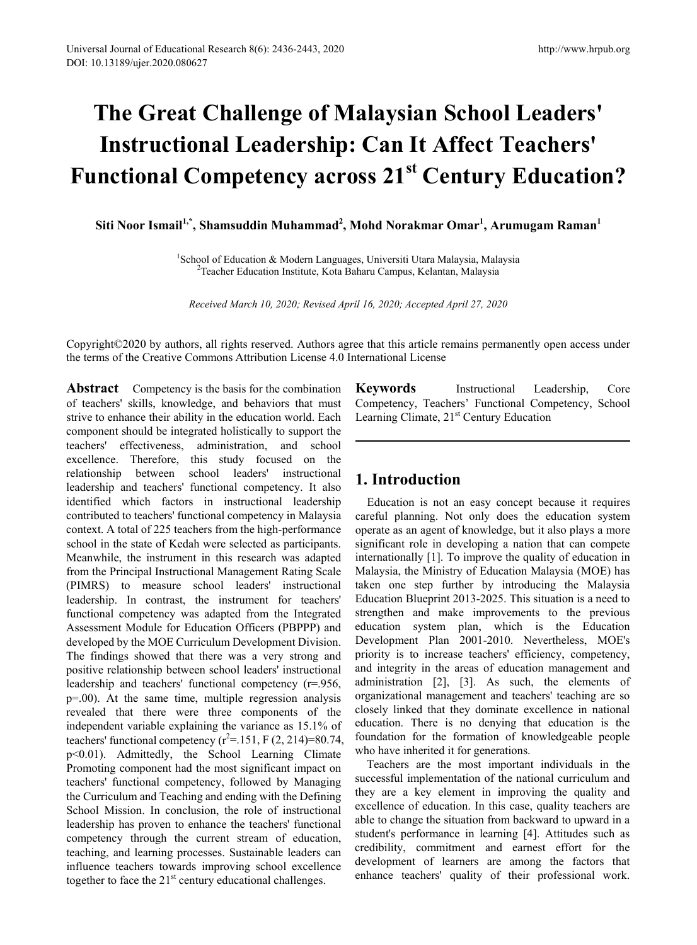# **The Great Challenge of Malaysian School Leaders' Instructional Leadership: Can It Affect Teachers' Functional Competency across 21st Century Education?**

**Siti Noor Ismail1,\*, Shamsuddin Muhammad<sup>2</sup> , Mohd Norakmar Omar1 , Arumugam Raman<sup>1</sup>**

<sup>1</sup>School of Education & Modern Languages, Universiti Utara Malaysia, Malaysia<sup>2</sup>Teacher Education Institute, Kota Baharu Campus, Kelantan, Malaysia Teacher Education Institute, Kota Baharu Campus, Kelantan, Malaysia

*Received March 10, 2020; Revised April 16, 2020; Accepted April 27, 2020*

Copyright©2020 by authors, all rights reserved. Authors agree that this article remains permanently open access under the terms of the Creative Commons Attribution License 4.0 International License

**Abstract** Competency is the basis for the combination of teachers' skills, knowledge, and behaviors that must strive to enhance their ability in the education world. Each component should be integrated holistically to support the teachers' effectiveness, administration, and school excellence. Therefore, this study focused on the relationship between school leaders' instructional leadership and teachers' functional competency. It also identified which factors in instructional leadership contributed to teachers' functional competency in Malaysia context. A total of 225 teachers from the high-performance school in the state of Kedah were selected as participants. Meanwhile, the instrument in this research was adapted from the Principal Instructional Management Rating Scale (PIMRS) to measure school leaders' instructional leadership. In contrast, the instrument for teachers' functional competency was adapted from the Integrated Assessment Module for Education Officers (PBPPP) and developed by the MOE Curriculum Development Division. The findings showed that there was a very strong and positive relationship between school leaders' instructional leadership and teachers' functional competency (r=.956, p=.00). At the same time, multiple regression analysis revealed that there were three components of the independent variable explaining the variance as 15.1% of teachers' functional competency  $(r^2 = 151, F(2, 214)=80.74,$ p<0.01). Admittedly, the School Learning Climate Promoting component had the most significant impact on teachers' functional competency, followed by Managing the Curriculum and Teaching and ending with the Defining School Mission. In conclusion, the role of instructional leadership has proven to enhance the teachers' functional competency through the current stream of education, teaching, and learning processes. Sustainable leaders can influence teachers towards improving school excellence together to face the  $21<sup>st</sup>$  century educational challenges.

**Keywords** Instructional Leadership, Core Competency, Teachers' Functional Competency, School Learning Climate,  $21<sup>st</sup>$  Century Education

## **1. Introduction**

Education is not an easy concept because it requires careful planning. Not only does the education system operate as an agent of knowledge, but it also plays a more significant role in developing a nation that can compete internationally [1]. To improve the quality of education in Malaysia, the Ministry of Education Malaysia (MOE) has taken one step further by introducing the Malaysia Education Blueprint 2013-2025. This situation is a need to strengthen and make improvements to the previous education system plan, which is the Education Development Plan 2001-2010. Nevertheless, MOE's priority is to increase teachers' efficiency, competency, and integrity in the areas of education management and administration [2], [3]. As such, the elements of organizational management and teachers' teaching are so closely linked that they dominate excellence in national education. There is no denying that education is the foundation for the formation of knowledgeable people who have inherited it for generations.

Teachers are the most important individuals in the successful implementation of the national curriculum and they are a key element in improving the quality and excellence of education. In this case, quality teachers are able to change the situation from backward to upward in a student's performance in learning [4]. Attitudes such as credibility, commitment and earnest effort for the development of learners are among the factors that enhance teachers' quality of their professional work.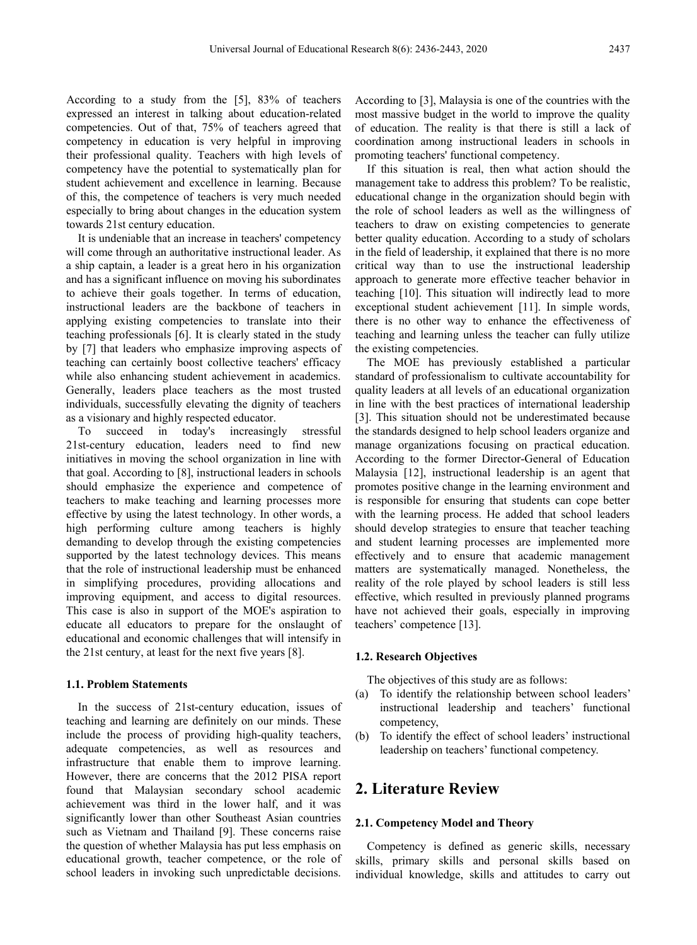According to a study from the [5], 83% of teachers expressed an interest in talking about education-related competencies. Out of that, 75% of teachers agreed that competency in education is very helpful in improving their professional quality. Teachers with high levels of competency have the potential to systematically plan for student achievement and excellence in learning. Because of this, the competence of teachers is very much needed especially to bring about changes in the education system towards 21st century education.

It is undeniable that an increase in teachers' competency will come through an authoritative instructional leader. As a ship captain, a leader is a great hero in his organization and has a significant influence on moving his subordinates to achieve their goals together. In terms of education, instructional leaders are the backbone of teachers in applying existing competencies to translate into their teaching professionals [6]. It is clearly stated in the study by [7] that leaders who emphasize improving aspects of teaching can certainly boost collective teachers' efficacy while also enhancing student achievement in academics. Generally, leaders place teachers as the most trusted individuals, successfully elevating the dignity of teachers as a visionary and highly respected educator.

To succeed in today's increasingly stressful 21st-century education, leaders need to find new initiatives in moving the school organization in line with that goal. According to [8], instructional leaders in schools should emphasize the experience and competence of teachers to make teaching and learning processes more effective by using the latest technology. In other words, a high performing culture among teachers is highly demanding to develop through the existing competencies supported by the latest technology devices. This means that the role of instructional leadership must be enhanced in simplifying procedures, providing allocations and improving equipment, and access to digital resources. This case is also in support of the MOE's aspiration to educate all educators to prepare for the onslaught of educational and economic challenges that will intensify in the 21st century, at least for the next five years [8].

#### **1.1. Problem Statements**

In the success of 21st-century education, issues of teaching and learning are definitely on our minds. These include the process of providing high-quality teachers, adequate competencies, as well as resources and infrastructure that enable them to improve learning. However, there are concerns that the 2012 PISA report found that Malaysian secondary school academic achievement was third in the lower half, and it was significantly lower than other Southeast Asian countries such as Vietnam and Thailand [9]. These concerns raise the question of whether Malaysia has put less emphasis on educational growth, teacher competence, or the role of school leaders in invoking such unpredictable decisions.

According to [3], Malaysia is one of the countries with the most massive budget in the world to improve the quality of education. The reality is that there is still a lack of coordination among instructional leaders in schools in promoting teachers' functional competency.

If this situation is real, then what action should the management take to address this problem? To be realistic, educational change in the organization should begin with the role of school leaders as well as the willingness of teachers to draw on existing competencies to generate better quality education. According to a study of scholars in the field of leadership, it explained that there is no more critical way than to use the instructional leadership approach to generate more effective teacher behavior in teaching [10]. This situation will indirectly lead to more exceptional student achievement [11]. In simple words, there is no other way to enhance the effectiveness of teaching and learning unless the teacher can fully utilize the existing competencies.

The MOE has previously established a particular standard of professionalism to cultivate accountability for quality leaders at all levels of an educational organization in line with the best practices of international leadership [3]. This situation should not be underestimated because the standards designed to help school leaders organize and manage organizations focusing on practical education. According to the former Director-General of Education Malaysia [12], instructional leadership is an agent that promotes positive change in the learning environment and is responsible for ensuring that students can cope better with the learning process. He added that school leaders should develop strategies to ensure that teacher teaching and student learning processes are implemented more effectively and to ensure that academic management matters are systematically managed. Nonetheless, the reality of the role played by school leaders is still less effective, which resulted in previously planned programs have not achieved their goals, especially in improving teachers' competence [13].

### **1.2. Research Objectives**

The objectives of this study are as follows:

- (a) To identify the relationship between school leaders' instructional leadership and teachers' functional competency,
- (b) To identify the effect of school leaders' instructional leadership on teachers' functional competency.

## **2. Literature Review**

#### **2.1. Competency Model and Theory**

Competency is defined as generic skills, necessary skills, primary skills and personal skills based on individual knowledge, skills and attitudes to carry out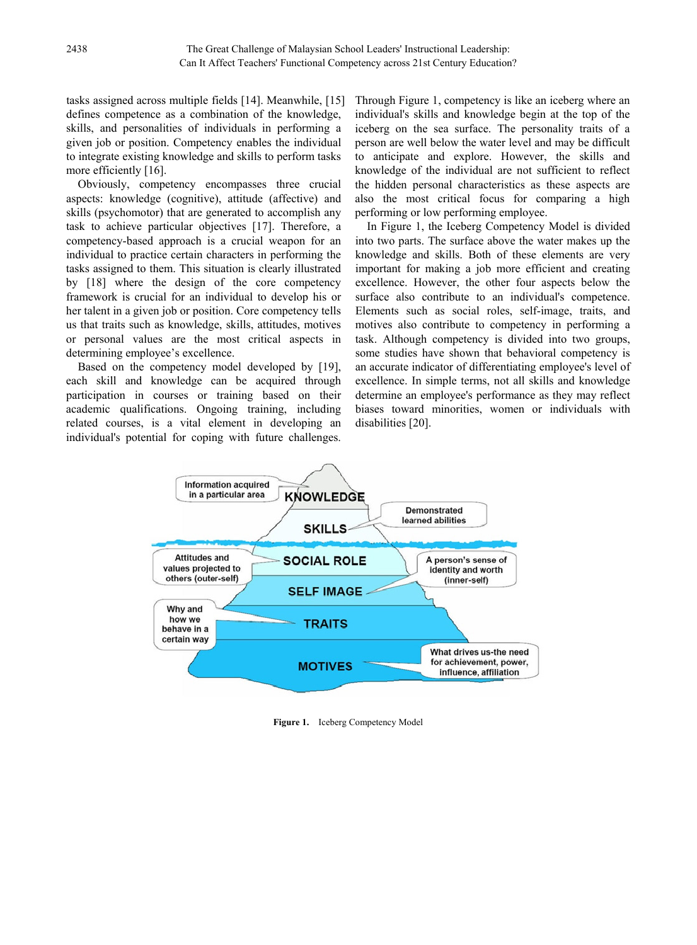tasks assigned across multiple fields [14]. Meanwhile, [15] defines competence as a combination of the knowledge, skills, and personalities of individuals in performing a given job or position. Competency enables the individual to integrate existing knowledge and skills to perform tasks more efficiently [16].

Obviously, competency encompasses three crucial aspects: knowledge (cognitive), attitude (affective) and skills (psychomotor) that are generated to accomplish any task to achieve particular objectives [17]. Therefore, a competency-based approach is a crucial weapon for an individual to practice certain characters in performing the tasks assigned to them. This situation is clearly illustrated by [18] where the design of the core competency framework is crucial for an individual to develop his or her talent in a given job or position. Core competency tells us that traits such as knowledge, skills, attitudes, motives or personal values are the most critical aspects in determining employee's excellence.

Based on the competency model developed by [19], each skill and knowledge can be acquired through participation in courses or training based on their academic qualifications. Ongoing training, including related courses, is a vital element in developing an individual's potential for coping with future challenges.

Through Figure 1, competency is like an iceberg where an individual's skills and knowledge begin at the top of the iceberg on the sea surface. The personality traits of a person are well below the water level and may be difficult to anticipate and explore. However, the skills and knowledge of the individual are not sufficient to reflect the hidden personal characteristics as these aspects are also the most critical focus for comparing a high performing or low performing employee.

In Figure 1, the Iceberg Competency Model is divided into two parts. The surface above the water makes up the knowledge and skills. Both of these elements are very important for making a job more efficient and creating excellence. However, the other four aspects below the surface also contribute to an individual's competence. Elements such as social roles, self-image, traits, and motives also contribute to competency in performing a task. Although competency is divided into two groups, some studies have shown that behavioral competency is an accurate indicator of differentiating employee's level of excellence. In simple terms, not all skills and knowledge determine an employee's performance as they may reflect biases toward minorities, women or individuals with disabilities [20].



**Figure 1.** Iceberg Competency Model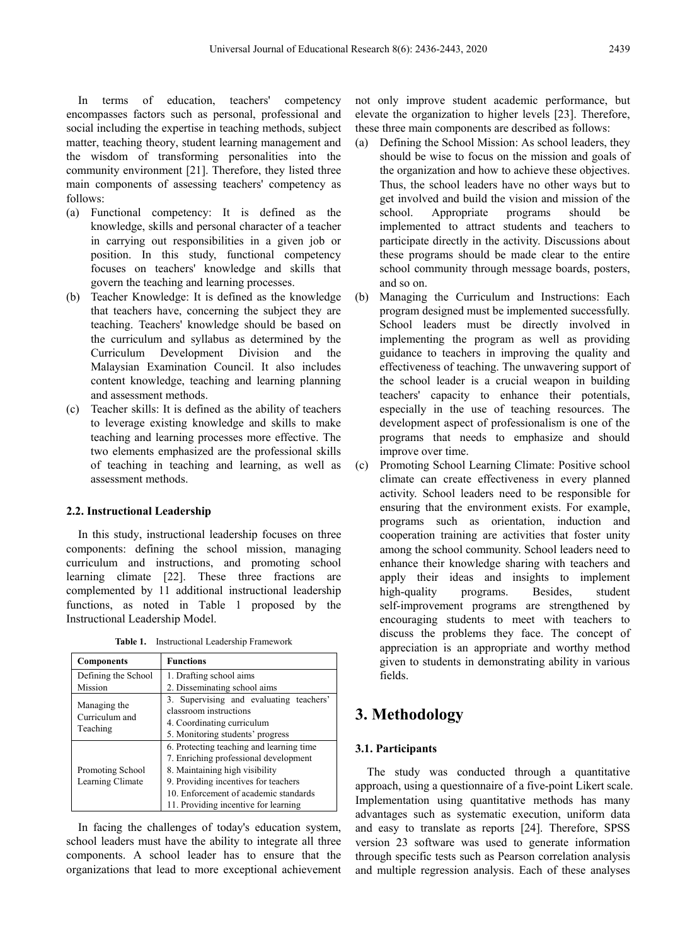In terms of education, teachers' competency encompasses factors such as personal, professional and social including the expertise in teaching methods, subject matter, teaching theory, student learning management and the wisdom of transforming personalities into the community environment [21]. Therefore, they listed three main components of assessing teachers' competency as follows:

- (a) Functional competency: It is defined as the knowledge, skills and personal character of a teacher in carrying out responsibilities in a given job or position. In this study, functional competency focuses on teachers' knowledge and skills that govern the teaching and learning processes.
- (b) Teacher Knowledge: It is defined as the knowledge that teachers have, concerning the subject they are teaching. Teachers' knowledge should be based on the curriculum and syllabus as determined by the Curriculum Development Division and the Malaysian Examination Council. It also includes content knowledge, teaching and learning planning and assessment methods.
- (c) Teacher skills: It is defined as the ability of teachers to leverage existing knowledge and skills to make teaching and learning processes more effective. The two elements emphasized are the professional skills of teaching in teaching and learning, as well as assessment methods.

#### **2.2. Instructional Leadership**

In this study, instructional leadership focuses on three components: defining the school mission, managing curriculum and instructions, and promoting school learning climate [22]. These three fractions are complemented by 11 additional instructional leadership functions, as noted in Table 1 proposed by the Instructional Leadership Model.

**Table 1.** Instructional Leadership Framework

| <b>Components</b>                          | <b>Functions</b>                         |  |  |
|--------------------------------------------|------------------------------------------|--|--|
| Defining the School                        | 1. Drafting school aims                  |  |  |
| Mission                                    | 2. Disseminating school aims             |  |  |
| Managing the<br>Curriculum and<br>Teaching | 3. Supervising and evaluating teachers'  |  |  |
|                                            | classroom instructions                   |  |  |
|                                            | 4. Coordinating curriculum               |  |  |
|                                            | 5. Monitoring students' progress         |  |  |
|                                            | 6. Protecting teaching and learning time |  |  |
|                                            | 7. Enriching professional development    |  |  |
| Promoting School                           | 8. Maintaining high visibility           |  |  |
| Learning Climate                           | 9. Providing incentives for teachers     |  |  |
|                                            | 10. Enforcement of academic standards    |  |  |
|                                            | 11. Providing incentive for learning     |  |  |

In facing the challenges of today's education system, school leaders must have the ability to integrate all three components. A school leader has to ensure that the organizations that lead to more exceptional achievement not only improve student academic performance, but elevate the organization to higher levels [23]. Therefore, these three main components are described as follows:

- (a) Defining the School Mission: As school leaders, they should be wise to focus on the mission and goals of the organization and how to achieve these objectives. Thus, the school leaders have no other ways but to get involved and build the vision and mission of the school. Appropriate programs should be implemented to attract students and teachers to participate directly in the activity. Discussions about these programs should be made clear to the entire school community through message boards, posters, and so on.
- (b) Managing the Curriculum and Instructions: Each program designed must be implemented successfully. School leaders must be directly involved in implementing the program as well as providing guidance to teachers in improving the quality and effectiveness of teaching. The unwavering support of the school leader is a crucial weapon in building teachers' capacity to enhance their potentials, especially in the use of teaching resources. The development aspect of professionalism is one of the programs that needs to emphasize and should improve over time.
- (c) Promoting School Learning Climate: Positive school climate can create effectiveness in every planned activity. School leaders need to be responsible for ensuring that the environment exists. For example, programs such as orientation, induction and cooperation training are activities that foster unity among the school community. School leaders need to enhance their knowledge sharing with teachers and apply their ideas and insights to implement high-quality programs. Besides, student self-improvement programs are strengthened by encouraging students to meet with teachers to discuss the problems they face. The concept of appreciation is an appropriate and worthy method given to students in demonstrating ability in various fields.

# **3. Methodology**

#### **3.1. Participants**

The study was conducted through a quantitative approach, using a questionnaire of a five-point Likert scale. Implementation using quantitative methods has many advantages such as systematic execution, uniform data and easy to translate as reports [24]. Therefore, SPSS version 23 software was used to generate information through specific tests such as Pearson correlation analysis and multiple regression analysis. Each of these analyses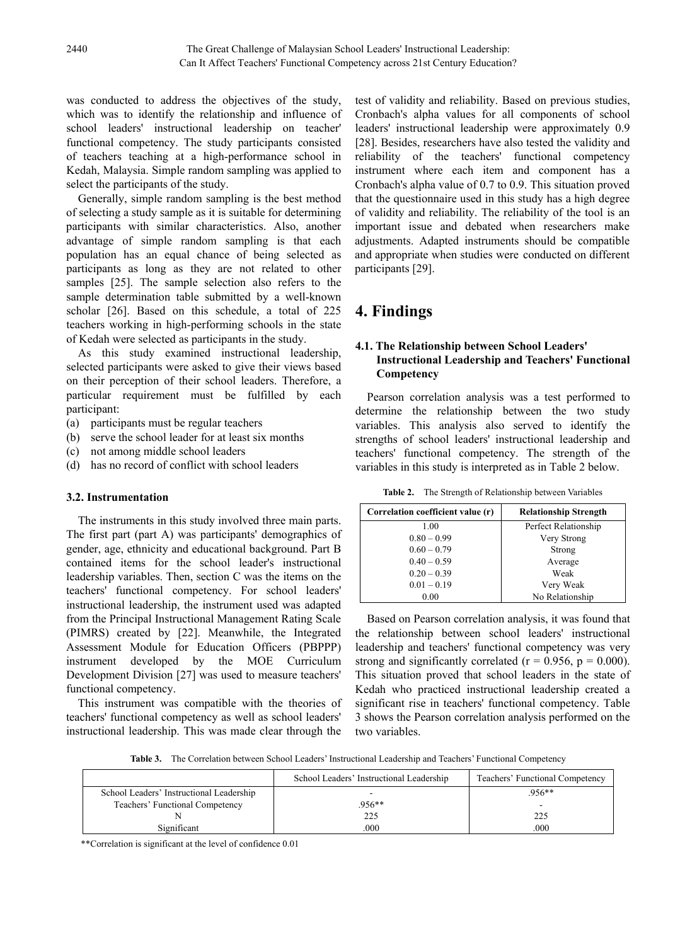was conducted to address the objectives of the study, which was to identify the relationship and influence of school leaders' instructional leadership on teacher' functional competency. The study participants consisted of teachers teaching at a high-performance school in Kedah, Malaysia. Simple random sampling was applied to select the participants of the study.

Generally, simple random sampling is the best method of selecting a study sample as it is suitable for determining participants with similar characteristics. Also, another advantage of simple random sampling is that each population has an equal chance of being selected as participants as long as they are not related to other samples [25]. The sample selection also refers to the sample determination table submitted by a well-known scholar [26]. Based on this schedule, a total of 225 teachers working in high-performing schools in the state of Kedah were selected as participants in the study.

As this study examined instructional leadership, selected participants were asked to give their views based on their perception of their school leaders. Therefore, a particular requirement must be fulfilled by each participant:

- (a) participants must be regular teachers
- (b) serve the school leader for at least six months
- (c) not among middle school leaders
- (d) has no record of conflict with school leaders

## **3.2. Instrumentation**

The instruments in this study involved three main parts. The first part (part A) was participants' demographics of gender, age, ethnicity and educational background. Part B contained items for the school leader's instructional leadership variables. Then, section C was the items on the teachers' functional competency. For school leaders' instructional leadership, the instrument used was adapted from the Principal Instructional Management Rating Scale (PIMRS) created by [22]. Meanwhile, the Integrated Assessment Module for Education Officers (PBPPP) instrument developed by the MOE Curriculum Development Division [27] was used to measure teachers' functional competency.

This instrument was compatible with the theories of teachers' functional competency as well as school leaders' instructional leadership. This was made clear through the

test of validity and reliability. Based on previous studies, Cronbach's alpha values for all components of school leaders' instructional leadership were approximately 0.9 [28]. Besides, researchers have also tested the validity and reliability of the teachers' functional competency instrument where each item and component has a Cronbach's alpha value of 0.7 to 0.9. This situation proved that the questionnaire used in this study has a high degree of validity and reliability. The reliability of the tool is an important issue and debated when researchers make adjustments. Adapted instruments should be compatible and appropriate when studies were conducted on different participants [29].

# **4. Findings**

## **4.1. The Relationship between School Leaders' Instructional Leadership and Teachers' Functional Competency**

Pearson correlation analysis was a test performed to determine the relationship between the two study variables. This analysis also served to identify the strengths of school leaders' instructional leadership and teachers' functional competency. The strength of the variables in this study is interpreted as in Table 2 below.

**Table 2.** The Strength of Relationship between Variables

| Correlation coefficient value (r) | <b>Relationship Strength</b> |
|-----------------------------------|------------------------------|
| 1.00                              | Perfect Relationship         |
| $0.80 - 0.99$                     | Very Strong                  |
| $0.60 - 0.79$                     | Strong                       |
| $0.40 - 0.59$                     | Average                      |
| $0.20 - 0.39$                     | Weak                         |
| $0.01 - 0.19$                     | Very Weak                    |
| 0.00                              | No Relationship              |

Based on Pearson correlation analysis, it was found that the relationship between school leaders' instructional leadership and teachers' functional competency was very strong and significantly correlated ( $r = 0.956$ ,  $p = 0.000$ ). This situation proved that school leaders in the state of Kedah who practiced instructional leadership created a significant rise in teachers' functional competency. Table 3 shows the Pearson correlation analysis performed on the two variables.

**Table 3.** The Correlation between School Leaders' Instructional Leadership and Teachers' Functional Competency

|                                          | School Leaders' Instructional Leadership | Teachers' Functional Competency |
|------------------------------------------|------------------------------------------|---------------------------------|
| School Leaders' Instructional Leadership | -                                        | 956**                           |
| Teachers' Functional Competency          | .956**                                   | $\overline{\phantom{0}}$        |
|                                          | 225                                      | 225                             |
| Significant                              | .000                                     | .000                            |

\*\*Correlation is significant at the level of confidence 0.01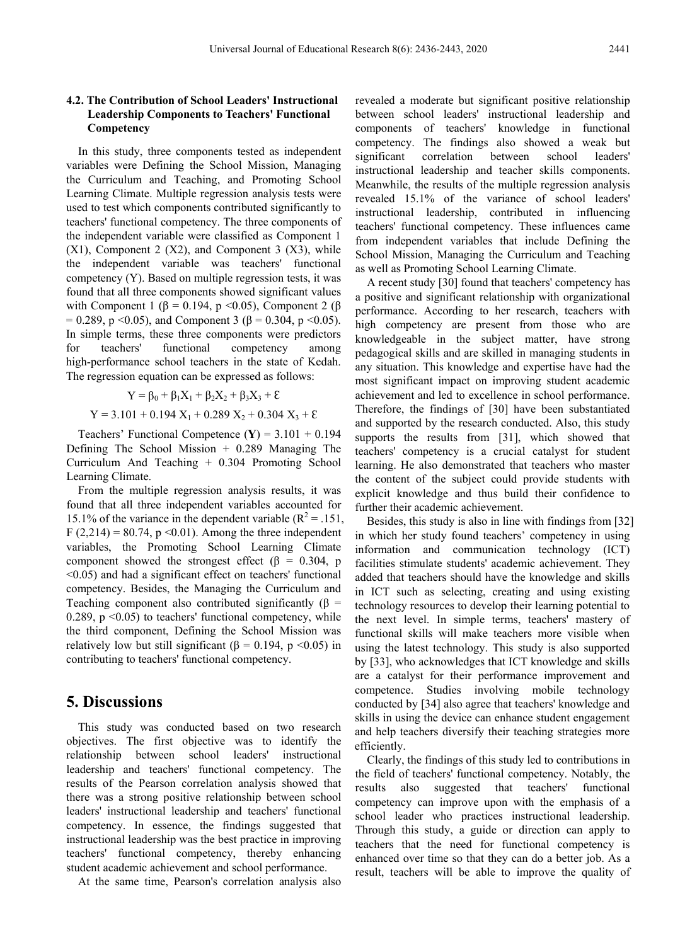## **4.2. The Contribution of School Leaders' Instructional Leadership Components to Teachers' Functional Competency**

In this study, three components tested as independent variables were Defining the School Mission, Managing the Curriculum and Teaching, and Promoting School Learning Climate. Multiple regression analysis tests were used to test which components contributed significantly to teachers' functional competency. The three components of the independent variable were classified as Component 1  $(X1)$ , Component 2  $(X2)$ , and Component 3  $(X3)$ , while the independent variable was teachers' functional competency (Y). Based on multiple regression tests, it was found that all three components showed significant values with Component 1 ( $\beta$  = 0.194, p < 0.05), Component 2 ( $\beta$ = 0.289, p <0.05), and Component 3 ( $\beta$  = 0.304, p <0.05). In simple terms, these three components were predictors for teachers' functional competency among high-performance school teachers in the state of Kedah. The regression equation can be expressed as follows:

$$
Y = \beta_0 + \beta_1 X_1 + \beta_2 X_2 + \beta_3 X_3 + \varepsilon
$$
  
Y = 3.101 + 0.194 X<sub>1</sub> + 0.289 X<sub>2</sub> + 0.304 X<sub>3</sub> + \varepsilon

Teachers' Functional Competence  $(Y) = 3.101 + 0.194$ Defining The School Mission + 0.289 Managing The Curriculum And Teaching + 0.304 Promoting School Learning Climate.

From the multiple regression analysis results, it was found that all three independent variables accounted for 15.1% of the variance in the dependent variable ( $R^2$  = .151, F (2,214) = 80.74, p < 0.01). Among the three independent variables, the Promoting School Learning Climate component showed the strongest effect ( $\beta$  = 0.304, p <0.05) and had a significant effect on teachers' functional competency. Besides, the Managing the Curriculum and Teaching component also contributed significantly ( $\beta$  = 0.289,  $p \le 0.05$ ) to teachers' functional competency, while the third component, Defining the School Mission was relatively low but still significant ( $\beta = 0.194$ , p <0.05) in contributing to teachers' functional competency.

## **5. Discussions**

This study was conducted based on two research objectives. The first objective was to identify the relationship between school leaders' instructional leadership and teachers' functional competency. The results of the Pearson correlation analysis showed that there was a strong positive relationship between school leaders' instructional leadership and teachers' functional competency. In essence, the findings suggested that instructional leadership was the best practice in improving teachers' functional competency, thereby enhancing student academic achievement and school performance.

At the same time, Pearson's correlation analysis also

revealed a moderate but significant positive relationship between school leaders' instructional leadership and components of teachers' knowledge in functional competency. The findings also showed a weak but significant correlation between school leaders' instructional leadership and teacher skills components. Meanwhile, the results of the multiple regression analysis revealed 15.1% of the variance of school leaders' instructional leadership, contributed in influencing teachers' functional competency. These influences came from independent variables that include Defining the School Mission, Managing the Curriculum and Teaching as well as Promoting School Learning Climate.

A recent study [30] found that teachers' competency has a positive and significant relationship with organizational performance. According to her research, teachers with high competency are present from those who are knowledgeable in the subject matter, have strong pedagogical skills and are skilled in managing students in any situation. This knowledge and expertise have had the most significant impact on improving student academic achievement and led to excellence in school performance. Therefore, the findings of [30] have been substantiated and supported by the research conducted. Also, this study supports the results from [31], which showed that teachers' competency is a crucial catalyst for student learning. He also demonstrated that teachers who master the content of the subject could provide students with explicit knowledge and thus build their confidence to further their academic achievement.

Besides, this study is also in line with findings from [32] in which her study found teachers' competency in using information and communication technology (ICT) facilities stimulate students' academic achievement. They added that teachers should have the knowledge and skills in ICT such as selecting, creating and using existing technology resources to develop their learning potential to the next level. In simple terms, teachers' mastery of functional skills will make teachers more visible when using the latest technology. This study is also supported by [33], who acknowledges that ICT knowledge and skills are a catalyst for their performance improvement and competence. Studies involving mobile technology conducted by [34] also agree that teachers' knowledge and skills in using the device can enhance student engagement and help teachers diversify their teaching strategies more efficiently.

Clearly, the findings of this study led to contributions in the field of teachers' functional competency. Notably, the results also suggested that teachers' functional competency can improve upon with the emphasis of a school leader who practices instructional leadership. Through this study, a guide or direction can apply to teachers that the need for functional competency is enhanced over time so that they can do a better job. As a result, teachers will be able to improve the quality of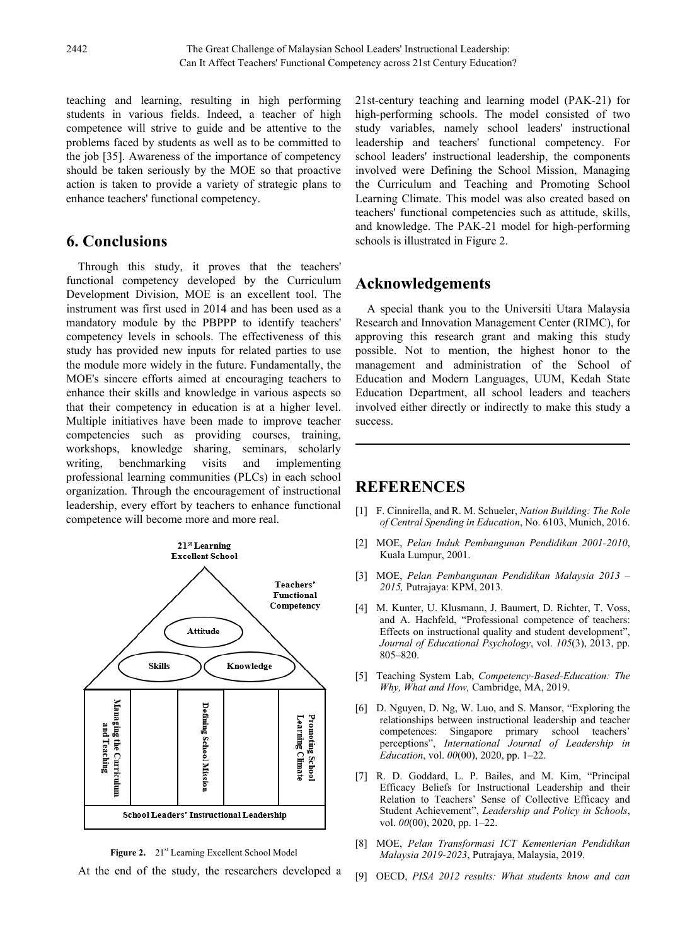teaching and learning, resulting in high performing students in various fields. Indeed, a teacher of high competence will strive to guide and be attentive to the problems faced by students as well as to be committed to the job [35]. Awareness of the importance of competency should be taken seriously by the MOE so that proactive action is taken to provide a variety of strategic plans to enhance teachers' functional competency.

# **6. Conclusions**

Through this study, it proves that the teachers' functional competency developed by the Curriculum Development Division, MOE is an excellent tool. The instrument was first used in 2014 and has been used as a mandatory module by the PBPPP to identify teachers' competency levels in schools. The effectiveness of this study has provided new inputs for related parties to use the module more widely in the future. Fundamentally, the MOE's sincere efforts aimed at encouraging teachers to enhance their skills and knowledge in various aspects so that their competency in education is at a higher level. Multiple initiatives have been made to improve teacher competencies such as providing courses, training, workshops, knowledge sharing, seminars, scholarly writing, benchmarking visits and implementing professional learning communities (PLCs) in each school organization. Through the encouragement of instructional leadership, every effort by teachers to enhance functional competence will become more and more real.



Figure 2. 21<sup>st</sup> Learning Excellent School Model

At the end of the study, the researchers developed a

21st-century teaching and learning model (PAK-21) for high-performing schools. The model consisted of two study variables, namely school leaders' instructional leadership and teachers' functional competency. For school leaders' instructional leadership, the components involved were Defining the School Mission, Managing the Curriculum and Teaching and Promoting School Learning Climate. This model was also created based on teachers' functional competencies such as attitude, skills, and knowledge. The PAK-21 model for high-performing schools is illustrated in Figure 2.

## **Acknowledgements**

A special thank you to the Universiti Utara Malaysia Research and Innovation Management Center (RIMC), for approving this research grant and making this study possible. Not to mention, the highest honor to the management and administration of the School of Education and Modern Languages, UUM, Kedah State Education Department, all school leaders and teachers involved either directly or indirectly to make this study a success.

# **REFERENCES**

- [1] F. Cinnirella, and R. M. Schueler, *Nation Building: The Role of Central Spending in Education*, No. 6103, Munich, 2016.
- [2] MOE, *Pelan Induk Pembangunan Pendidikan 2001-2010*, Kuala Lumpur, 2001.
- [3] MOE, *Pelan Pembangunan Pendidikan Malaysia 2013 – 2015,* Putrajaya: KPM, 2013.
- [4] M. Kunter, U. Klusmann, J. Baumert, D. Richter, T. Voss, and A. Hachfeld, "Professional competence of teachers: Effects on instructional quality and student development", *Journal of Educational Psychology*, vol. *105*(3), 2013, pp. 805–820.
- [5] Teaching System Lab, *Competency-Based-Education: The Why, What and How,* Cambridge, MA, 2019.
- [6] D. Nguyen, D. Ng, W. Luo, and S. Mansor, "Exploring the relationships between instructional leadership and teacher competences: Singapore primary school teachers' perceptions", *International Journal of Leadership in Education*, vol. *00*(00), 2020, pp. 1–22.
- [7] R. D. Goddard, L. P. Bailes, and M. Kim, "Principal Efficacy Beliefs for Instructional Leadership and their Relation to Teachers' Sense of Collective Efficacy and Student Achievement", *Leadership and Policy in Schools*, vol. *00*(00), 2020, pp. 1–22.
- [8] MOE, *Pelan Transformasi ICT Kementerian Pendidikan Malaysia 2019-2023*, Putrajaya, Malaysia, 2019.
- [9] OECD, *PISA 2012 results: What students know and can*